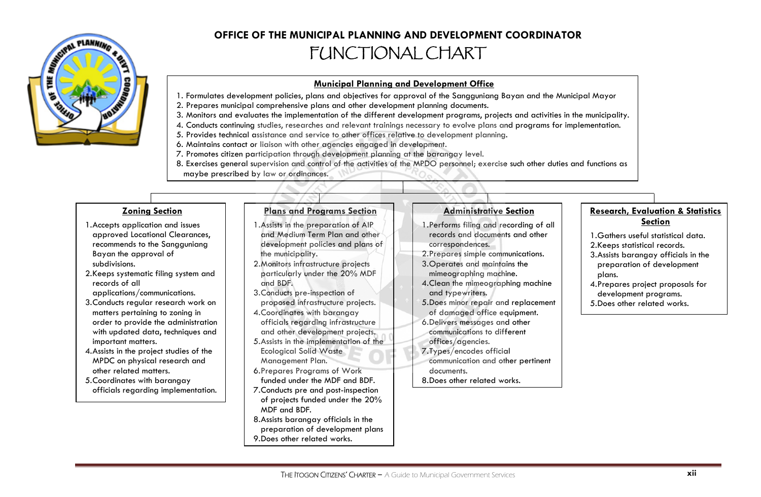

# **OFFICE OF THE MUNICIPAL PLANNING AND DEVELOPMENT COORDINATOR** FUNCTIONAL CHART

## **Municipal Planning and Development Office**

- 1. Formulates development policies, plans and objectives for approval of the Sangguniang Bayan and the Municipal Mayor
- 2. Prepares municipal comprehensive plans and other development planning documents.
- 3. Monitors and evaluates the implementation of the different development programs, projects and activities in the municipality.
- 4. Conducts continuing studies, researches and relevant trainings necessary to evolve plans and programs for implementation.
- 5. Provides technical assistance and service to other offices relative to development planning.
- 6. Maintains contact or liaison with other agencies engaged in development.
- 7. Promotes citizen participation through development planning at the barangay level.
- 8. Exercises general supervision and control of the activities of the MPDO personnel; exercise such other duties and functions as maybe prescribed by law or ordinances.

## **Zoning Section**

- 1.Accepts application and issues approved Locational Clearances, recommends to the Sangguniang Bayan the approval of subdivisions.
- 2.Keeps systematic filing system and records of all
- applications/communications.
- 3.Conducts regular research work on matters pertaining to zoning in order to provide the administration with updated data, techniques and important matters.
- 4.Assists in the project studies of the MPDC on physical research and other related matters.
- 5.Coordinates with barangay officials regarding implementation.

#### **Plans and Programs Section**

- 1.Assists in the preparation of AIP and Medium Term Plan and other development policies and plans of the municipality.
- 2.Monitors infrastructure projects particularly under the 20% MDF and BDF.
- 3.Conducts pre-inspection of proposed infrastructure projects.
- 4.Coordinates with barangay officials regarding infrastructure and other development projects.
- 5.Assists in the implementation of the Ecological Solid Waste Management Plan.
- 6.Prepares Programs of Work funded under the MDF and BDF.
- 7.Conducts pre and post-inspection of projects funded under the 20% MDF and BDF.
- 8.Assists barangay officials in the preparation of development plans 9.Does other related works.

# **Administrative Section**

- 1.Performs filing and recording of all records and documents and other correspondences.
- 2.Prepares simple communications.
- 3.Operates and maintains the mimeographing machine.
- 4.Clean the mimeographing machine and typewriters.
- 5.Does minor repair and replacement of damaged office equipment.
- 6.Delivers messages and other communications to different offices/agencies.
- 
- 7.Types/encodes official communication and other pertinent
- documents. 8.Does other related works.

## **Research, Evaluation & Statistics Section**

- 1.Gathers useful statistical data.
- 2.Keeps statistical records.
- 3.Assists barangay officials in the preparation of development plans.
- 4.Prepares project proposals for development programs. 5.Does other related works.